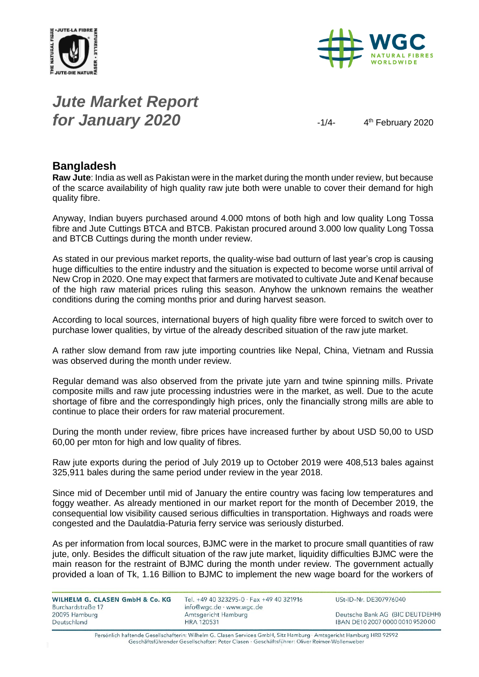



# *Jute Market Report for January 2020*  $\frac{1}{4}$

4<sup>th</sup> February 2020

#### **Bangladesh**

**Raw Jute**: India as well as Pakistan were in the market during the month under review, but because of the scarce availability of high quality raw jute both were unable to cover their demand for high quality fibre.

Anyway, Indian buyers purchased around 4.000 mtons of both high and low quality Long Tossa fibre and Jute Cuttings BTCA and BTCB. Pakistan procured around 3.000 low quality Long Tossa and BTCB Cuttings during the month under review.

As stated in our previous market reports, the quality-wise bad outturn of last year's crop is causing huge difficulties to the entire industry and the situation is expected to become worse until arrival of New Crop in 2020. One may expect that farmers are motivated to cultivate Jute and Kenaf because of the high raw material prices ruling this season. Anyhow the unknown remains the weather conditions during the coming months prior and during harvest season.

According to local sources, international buyers of high quality fibre were forced to switch over to purchase lower qualities, by virtue of the already described situation of the raw jute market.

A rather slow demand from raw jute importing countries like Nepal, China, Vietnam and Russia was observed during the month under review.

Regular demand was also observed from the private jute yarn and twine spinning mills. Private composite mills and raw jute processing industries were in the market, as well. Due to the acute shortage of fibre and the correspondingly high prices, only the financially strong mills are able to continue to place their orders for raw material procurement.

During the month under review, fibre prices have increased further by about USD 50,00 to USD 60,00 per mton for high and low quality of fibres.

Raw jute exports during the period of July 2019 up to October 2019 were 408,513 bales against 325,911 bales during the same period under review in the year 2018.

Since mid of December until mid of January the entire country was facing low temperatures and foggy weather. As already mentioned in our market report for the month of December 2019, the consequential low visibility caused serious difficulties in transportation. Highways and roads were congested and the Daulatdia-Paturia ferry service was seriously disturbed.

As per information from local sources, BJMC were in the market to procure small quantities of raw jute, only. Besides the difficult situation of the raw jute market, liquidity difficulties BJMC were the main reason for the restraint of BJMC during the month under review. The government actually provided a loan of Tk, 1.16 Billion to BJMC to implement the new wage board for the workers of

| WILHELM G. CLASEN GmbH & Co. KG    | Tel. +49 40 323295-0 · Fax +49 40 321916        | USt-ID-Nr. DE307976040           |  |  |
|------------------------------------|-------------------------------------------------|----------------------------------|--|--|
| Burchardstraße 17<br>20095 Hamburg | info@wgc.de · www.wgc.de<br>Amtsgericht Hamburg | Deutsche Bank AG (BIC DEUTDEHH)  |  |  |
| Deutschland                        | <b>HRA 120531</b>                               | IBAN DE10 2007 0000 0010 9520 00 |  |  |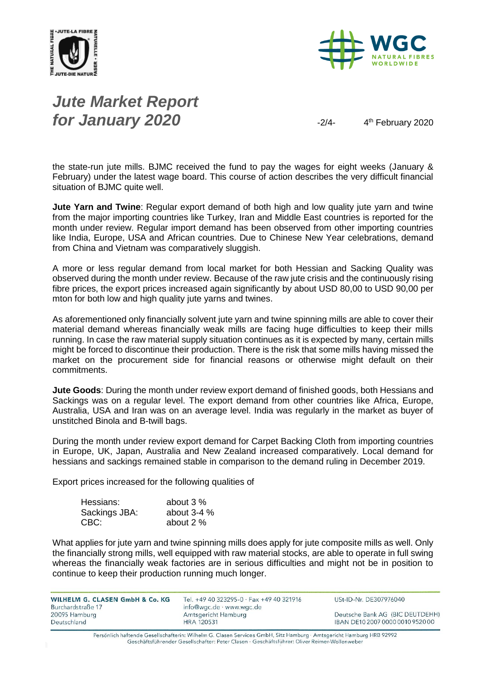



# *Jute Market Report for January 2020*

4<sup>th</sup> February 2020

the state-run jute mills. BJMC received the fund to pay the wages for eight weeks (January & February) under the latest wage board. This course of action describes the very difficult financial situation of BJMC quite well.

**Jute Yarn and Twine**: Regular export demand of both high and low quality jute yarn and twine from the major importing countries like Turkey, Iran and Middle East countries is reported for the month under review. Regular import demand has been observed from other importing countries like India, Europe, USA and African countries. Due to Chinese New Year celebrations, demand from China and Vietnam was comparatively sluggish.

A more or less regular demand from local market for both Hessian and Sacking Quality was observed during the month under review. Because of the raw jute crisis and the continuously rising fibre prices, the export prices increased again significantly by about USD 80,00 to USD 90,00 per mton for both low and high quality jute yarns and twines.

As aforementioned only financially solvent jute yarn and twine spinning mills are able to cover their material demand whereas financially weak mills are facing huge difficulties to keep their mills running. In case the raw material supply situation continues as it is expected by many, certain mills might be forced to discontinue their production. There is the risk that some mills having missed the market on the procurement side for financial reasons or otherwise might default on their commitments.

**Jute Goods**: During the month under review export demand of finished goods, both Hessians and Sackings was on a regular level. The export demand from other countries like Africa, Europe, Australia, USA and Iran was on an average level. India was regularly in the market as buyer of unstitched Binola and B-twill bags.

During the month under review export demand for Carpet Backing Cloth from importing countries in Europe, UK, Japan, Australia and New Zealand increased comparatively. Local demand for hessians and sackings remained stable in comparison to the demand ruling in December 2019.

Export prices increased for the following qualities of

| Hessians:     | about 3 %     |
|---------------|---------------|
| Sackings JBA: | about $3-4\%$ |
| CBC:          | about 2 %     |

What applies for jute yarn and twine spinning mills does apply for jute composite mills as well. Only the financially strong mills, well equipped with raw material stocks, are able to operate in full swing whereas the financially weak factories are in serious difficulties and might not be in position to continue to keep their production running much longer.

| WILHELM G. CLASEN GmbH & Co. KG<br>Burchardstraße 17 | Tel. +49 40 323295-0 · Fax +49 40 321916<br>info@wgc.de · www.wgc.de | USt-ID-Nr. DE307976040           |
|------------------------------------------------------|----------------------------------------------------------------------|----------------------------------|
| 20095 Hamburg                                        | Amtsgericht Hamburg                                                  | Deutsche Bank AG (BIC DEUTDEHH)  |
| Deutschland                                          | <b>HRA 120531</b>                                                    | IBAN DE10 2007 0000 0010 9520 00 |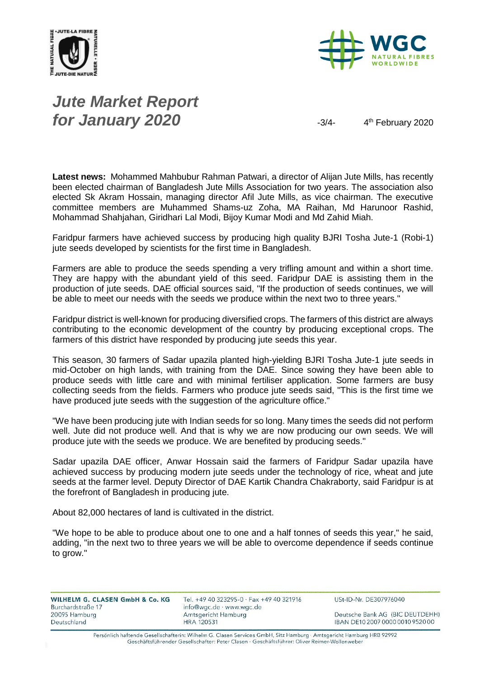



# *Jute Market Report for January 2020*  $\frac{3}{4}$

4<sup>th</sup> February 2020

**Latest news:** Mohammed Mahbubur Rahman Patwari, a director of Alijan Jute Mills, has recently been elected chairman of Bangladesh Jute Mills Association for two years. The association also elected Sk Akram Hossain, managing director Afil Jute Mills, as vice chairman. The executive committee members are Muhammed Shams-uz Zoha, MA Raihan, Md Harunoor Rashid, Mohammad Shahjahan, Giridhari Lal Modi, Bijoy Kumar Modi and Md Zahid Miah.

Faridpur farmers have achieved success by producing high quality BJRI Tosha Jute-1 (Robi-1) jute seeds developed by scientists for the first time in Bangladesh.

Farmers are able to produce the seeds spending a very trifling amount and within a short time. They are happy with the abundant yield of this seed. Faridpur DAE is assisting them in the production of jute seeds. DAE official sources said, "If the production of seeds continues, we will be able to meet our needs with the seeds we produce within the next two to three years."

Faridpur district is well-known for producing diversified crops. The farmers of this district are always contributing to the economic development of the country by producing exceptional crops. The farmers of this district have responded by producing jute seeds this year.

This season, 30 farmers of Sadar upazila planted high-yielding BJRI Tosha Jute-1 jute seeds in mid-October on high lands, with training from the DAE. Since sowing they have been able to produce seeds with little care and with minimal fertiliser application. Some farmers are busy collecting seeds from the fields. Farmers who produce jute seeds said, "This is the first time we have produced jute seeds with the suggestion of the agriculture office."

"We have been producing jute with Indian seeds for so long. Many times the seeds did not perform well. Jute did not produce well. And that is why we are now producing our own seeds. We will produce jute with the seeds we produce. We are benefited by producing seeds."

Sadar upazila DAE officer, Anwar Hossain said the farmers of Faridpur Sadar upazila have achieved success by producing modern jute seeds under the technology of rice, wheat and jute seeds at the farmer level. Deputy Director of DAE Kartik Chandra Chakraborty, said Faridpur is at the forefront of Bangladesh in producing jute.

About 82,000 hectares of land is cultivated in the district.

"We hope to be able to produce about one to one and a half tonnes of seeds this year," he said, adding, "in the next two to three years we will be able to overcome dependence if seeds continue to grow."

| <b>WILHELM G. CLASEN GmbH &amp; Co. KG</b> |  |  |
|--------------------------------------------|--|--|
| Burchardstraße 17                          |  |  |
| 20095 Hamburg                              |  |  |
| Deutschland                                |  |  |

Tel. +49 40 323295-0 · Fax +49 40 321916 info@wgc.de · www.wgc.de Amtsgericht Hamburg **HRA 120531** 

USt-ID-Nr. DE307976040

Deutsche Bank AG (BIC DEUTDEHH) IBAN DE10 2007 0000 0010 9520 00